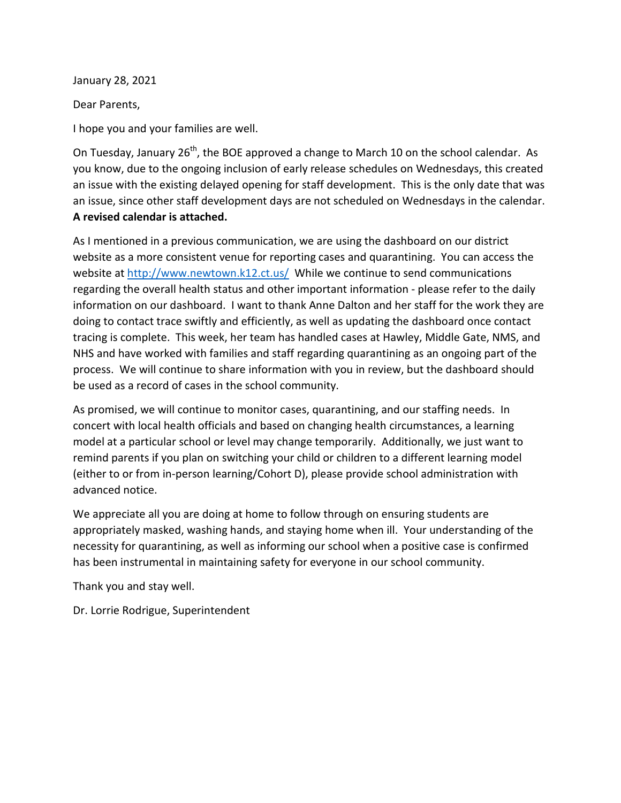January 28, 2021

Dear Parents,

I hope you and your families are well.

On Tuesday, January 26<sup>th</sup>, the BOE approved a change to March 10 on the school calendar. As you know, due to the ongoing inclusion of early release schedules on Wednesdays, this created an issue with the existing delayed opening for staff development. This is the only date that was an issue, since other staff development days are not scheduled on Wednesdays in the calendar. **A revised calendar is attached.**

As I mentioned in a previous communication, we are using the dashboard on our district website as a more consistent venue for reporting cases and quarantining. You can access the website at<http://www.newtown.k12.ct.us/>While we continue to send communications regarding the overall health status and other important information - please refer to the daily information on our dashboard. I want to thank Anne Dalton and her staff for the work they are doing to contact trace swiftly and efficiently, as well as updating the dashboard once contact tracing is complete. This week, her team has handled cases at Hawley, Middle Gate, NMS, and NHS and have worked with families and staff regarding quarantining as an ongoing part of the process. We will continue to share information with you in review, but the dashboard should be used as a record of cases in the school community.

As promised, we will continue to monitor cases, quarantining, and our staffing needs. In concert with local health officials and based on changing health circumstances, a learning model at a particular school or level may change temporarily. Additionally, we just want to remind parents if you plan on switching your child or children to a different learning model (either to or from in-person learning/Cohort D), please provide school administration with advanced notice.

We appreciate all you are doing at home to follow through on ensuring students are appropriately masked, washing hands, and staying home when ill. Your understanding of the necessity for quarantining, as well as informing our school when a positive case is confirmed has been instrumental in maintaining safety for everyone in our school community.

Thank you and stay well.

Dr. Lorrie Rodrigue, Superintendent